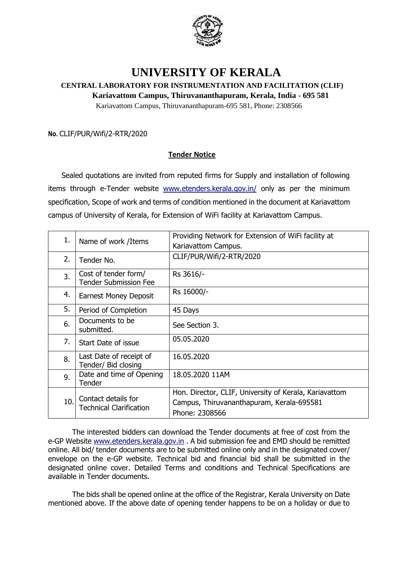

## **UNIVERSITY OF KERALA**

## **CENTRAL LABORATORY FOR INSTRUMENTATION AND FACILITATION (CLIF)**

 **Kariavattom Campus, Thiruvananthapuram, Kerala, India - 695 581**

Kariavattom Campus, Thiruvananthapuram-695 581, Phone: 2308566

**No.** CLIF/PUR/Wifi/2-RTR/2020

## **Tender Notice**

Sealed quotations are invited from reputed firms for Supply and installation of following items through e-Tender website [www.etenders.kerala.gov.in/](https://ccs.infospace.com/ClickHandler.ashx?encp=ld%3D20170109%26app%3D1%26c%3DAV772%26s%3DAV%26rc%3DAV772%26dc%3D%26euip%3D14.139.185.66%26pvaid%3D2fff3e2f9055433ab11c696db3d5a687%26dt%3DDesktop%26vid%3D606190505.3343461609909.1482987607.2%26fct.uid%3D0d1bb2749021432fbf9cba1c886d4a98%26en%3DpAiBppRwHTqgtNHR9bC%252fflewzJRnoFdL3QeqYP%252bQUQU%253d%26ru%3Dhttps%253a%252f%252fwww.etenders.kerala.gov.in%252f%26coi%3D239138%26npp%3D1%26p%3D0%26pp%3D0%26mid%3D9%26ep%3D1%26du%3Dhttps%253a%252f%252fwww.etenders.kerala.gov.in%252f%26hash%3D09A17ADABCBDD17B2486F7C7D2776B2C&ap=1&cop=main-title#_blank) only as per the minimum specification, Scope of work and terms of condition mentioned in the document at Kariavattom campus of University of Kerala, for Extension of WiFi facility at Kariavattom Campus.

| 1.  | Name of work /Items                                   | Providing Network for Extension of WiFi facility at                                                                   |
|-----|-------------------------------------------------------|-----------------------------------------------------------------------------------------------------------------------|
|     |                                                       | Kariavattom Campus.                                                                                                   |
| 2.  | Tender No.                                            | CLIF/PUR/Wifi/2-RTR/2020                                                                                              |
| 3.  | Cost of tender form/<br><b>Tender Submission Fee</b>  | Rs 3616/-                                                                                                             |
| 4.  | <b>Earnest Money Deposit</b>                          | Rs 16000/-                                                                                                            |
| 5.  | Period of Completion                                  | 45 Days                                                                                                               |
| 6.  | Documents to be<br>submitted.                         | See Section 3.                                                                                                        |
| 7.  | Start Date of issue                                   | 05.05.2020                                                                                                            |
| 8.  | Last Date of receipt of<br>Tender/ Bid closing        | 16.05.2020                                                                                                            |
| 9.  | Date and time of Opening<br>Tender                    | 18.05.2020 11AM                                                                                                       |
| 10. | Contact details for<br><b>Technical Clarification</b> | Hon. Director, CLIF, University of Kerala, Kariavattom<br>Campus, Thiruvananthapuram, Kerala-695581<br>Phone: 2308566 |

The interested bidders can download the Tender documents at free of cost from the e-GP Website [www.etenders.kerala.gov.in](http://www.etenders.kerala.gov.in/) . A bid submission fee and EMD should be remitted online. All bid/ tender documents are to be submitted online only and in the designated cover/ envelope on the e-GP website. Technical bid and financial bid shall be submitted in the designated online cover. Detailed Terms and conditions and Technical Specifications are available in Tender documents.

The bids shall be opened online at the office of the Registrar, Kerala University on Date mentioned above. If the above date of opening tender happens to be on a holiday or due to